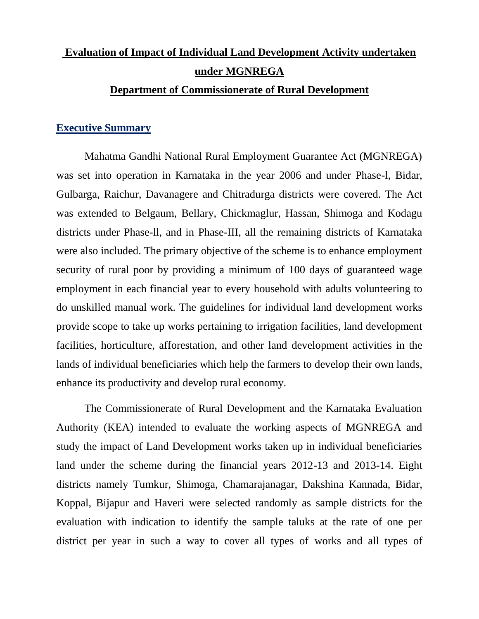# **Evaluation of Impact of Individual Land Development Activity undertaken under MGNREGA**

### **Department of Commissionerate of Rural Development**

## **Executive Summary**

Mahatma Gandhi National Rural Employment Guarantee Act (MGNREGA) was set into operation in Karnataka in the year 2006 and under Phase-l, Bidar, Gulbarga, Raichur, Davanagere and Chitradurga districts were covered. The Act was extended to Belgaum, Bellary, Chickmaglur, Hassan, Shimoga and Kodagu districts under Phase-ll, and in Phase-III, all the remaining districts of Karnataka were also included. The primary objective of the scheme is to enhance employment security of rural poor by providing a minimum of 100 days of guaranteed wage employment in each financial year to every household with adults volunteering to do unskilled manual work. The guidelines for individual land development works provide scope to take up works pertaining to irrigation facilities, land development facilities, horticulture, afforestation, and other land development activities in the lands of individual beneficiaries which help the farmers to develop their own lands, enhance its productivity and develop rural economy.

The Commissionerate of Rural Development and the Karnataka Evaluation Authority (KEA) intended to evaluate the working aspects of MGNREGA and study the impact of Land Development works taken up in individual beneficiaries land under the scheme during the financial years 2012-13 and 2013-14. Eight districts namely Tumkur, Shimoga, Chamarajanagar, Dakshina Kannada, Bidar, Koppal, Bijapur and Haveri were selected randomly as sample districts for the evaluation with indication to identify the sample taluks at the rate of one per district per year in such a way to cover all types of works and all types of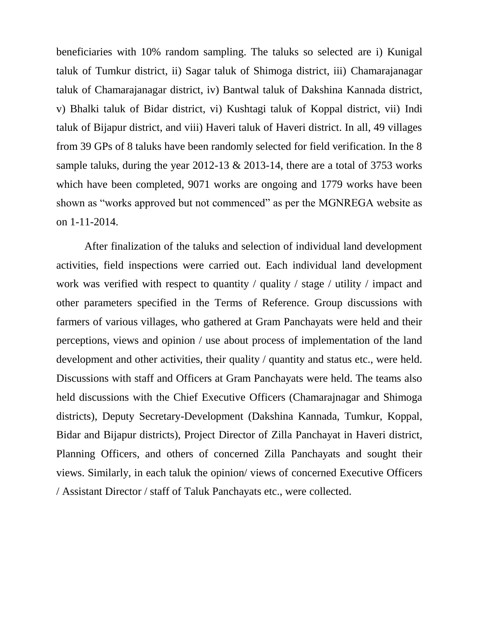beneficiaries with 10% random sampling. The taluks so selected are i) Kunigal taluk of Tumkur district, ii) Sagar taluk of Shimoga district, iii) Chamarajanagar taluk of Chamarajanagar district, iv) Bantwal taluk of Dakshina Kannada district, v) Bhalki taluk of Bidar district, vi) Kushtagi taluk of Koppal district, vii) Indi taluk of Bijapur district, and viii) Haveri taluk of Haveri district. In all, 49 villages from 39 GPs of 8 taluks have been randomly selected for field verification. In the 8 sample taluks, during the year 2012-13 & 2013-14, there are a total of 3753 works which have been completed, 9071 works are ongoing and 1779 works have been shown as "works approved but not commenced" as per the MGNREGA website as on 1-11-2014.

After finalization of the taluks and selection of individual land development activities, field inspections were carried out. Each individual land development work was verified with respect to quantity / quality / stage / utility / impact and other parameters specified in the Terms of Reference. Group discussions with farmers of various villages, who gathered at Gram Panchayats were held and their perceptions, views and opinion / use about process of implementation of the land development and other activities, their quality / quantity and status etc., were held. Discussions with staff and Officers at Gram Panchayats were held. The teams also held discussions with the Chief Executive Officers (Chamarajnagar and Shimoga districts), Deputy Secretary-Development (Dakshina Kannada, Tumkur, Koppal, Bidar and Bijapur districts), Project Director of Zilla Panchayat in Haveri district, Planning Officers, and others of concerned Zilla Panchayats and sought their views. Similarly, in each taluk the opinion/ views of concerned Executive Officers / Assistant Director / staff of Taluk Panchayats etc., were collected.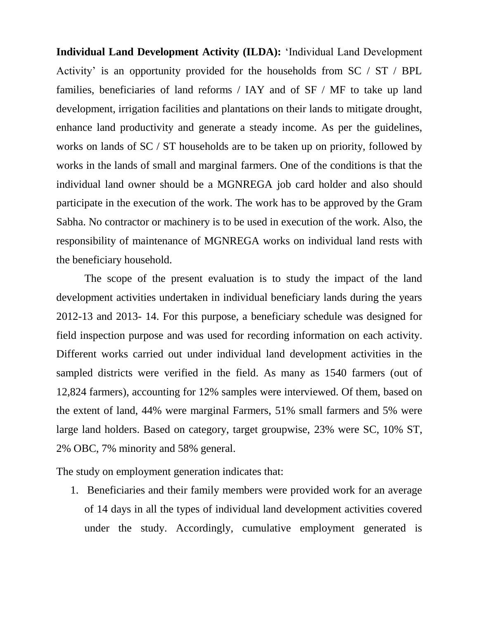**Individual Land Development Activity (ILDA):** "Individual Land Development Activity' is an opportunity provided for the households from  $SC / ST / BPL$ families, beneficiaries of land reforms / IAY and of SF / MF to take up land development, irrigation facilities and plantations on their lands to mitigate drought, enhance land productivity and generate a steady income. As per the guidelines, works on lands of SC / ST households are to be taken up on priority, followed by works in the lands of small and marginal farmers. One of the conditions is that the individual land owner should be a MGNREGA job card holder and also should participate in the execution of the work. The work has to be approved by the Gram Sabha. No contractor or machinery is to be used in execution of the work. Also, the responsibility of maintenance of MGNREGA works on individual land rests with the beneficiary household.

The scope of the present evaluation is to study the impact of the land development activities undertaken in individual beneficiary lands during the years 2012-13 and 2013- 14. For this purpose, a beneficiary schedule was designed for field inspection purpose and was used for recording information on each activity. Different works carried out under individual land development activities in the sampled districts were verified in the field. As many as 1540 farmers (out of 12,824 farmers), accounting for 12% samples were interviewed. Of them, based on the extent of land, 44% were marginal Farmers, 51% small farmers and 5% were large land holders. Based on category, target groupwise, 23% were SC, 10% ST, 2% OBC, 7% minority and 58% general.

The study on employment generation indicates that:

1. Beneficiaries and their family members were provided work for an average of 14 days in all the types of individual land development activities covered under the study. Accordingly, cumulative employment generated is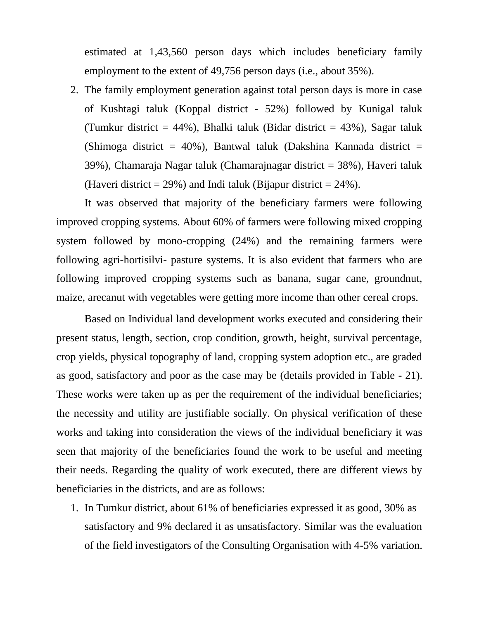estimated at 1,43,560 person days which includes beneficiary family employment to the extent of 49,756 person days (i.e., about 35%).

2. The family employment generation against total person days is more in case of Kushtagi taluk (Koppal district - 52%) followed by Kunigal taluk (Tumkur district = 44%), Bhalki taluk (Bidar district = 43%), Sagar taluk (Shimoga district =  $40\%$ ), Bantwal taluk (Dakshina Kannada district = 39%), Chamaraja Nagar taluk (Chamarajnagar district = 38%), Haveri taluk (Haveri district = 29%) and Indi taluk (Bijapur district =  $24\%$ ).

It was observed that majority of the beneficiary farmers were following improved cropping systems. About 60% of farmers were following mixed cropping system followed by mono-cropping (24%) and the remaining farmers were following agri-hortisilvi- pasture systems. It is also evident that farmers who are following improved cropping systems such as banana, sugar cane, groundnut, maize, arecanut with vegetables were getting more income than other cereal crops.

Based on Individual land development works executed and considering their present status, length, section, crop condition, growth, height, survival percentage, crop yields, physical topography of land, cropping system adoption etc., are graded as good, satisfactory and poor as the case may be (details provided in Table - 21). These works were taken up as per the requirement of the individual beneficiaries; the necessity and utility are justifiable socially. On physical verification of these works and taking into consideration the views of the individual beneficiary it was seen that majority of the beneficiaries found the work to be useful and meeting their needs. Regarding the quality of work executed, there are different views by beneficiaries in the districts, and are as follows:

1. In Tumkur district, about 61% of beneficiaries expressed it as good, 30% as satisfactory and 9% declared it as unsatisfactory. Similar was the evaluation of the field investigators of the Consulting Organisation with 4-5% variation.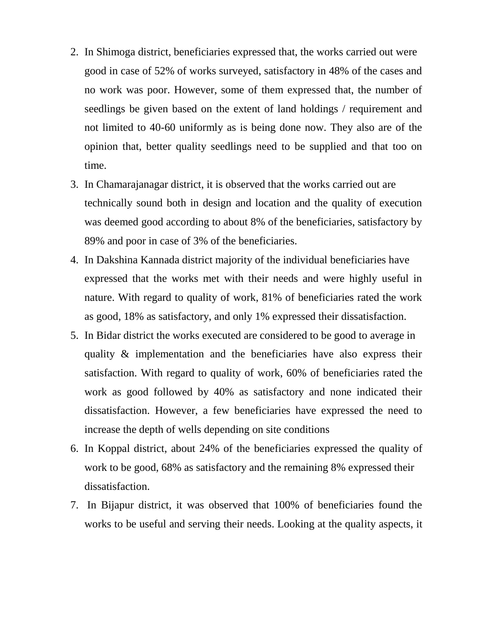- 2. In Shimoga district, beneficiaries expressed that, the works carried out were good in case of 52% of works surveyed, satisfactory in 48% of the cases and no work was poor. However, some of them expressed that, the number of seedlings be given based on the extent of land holdings / requirement and not limited to 40-60 uniformly as is being done now. They also are of the opinion that, better quality seedlings need to be supplied and that too on time.
- 3. In Chamarajanagar district, it is observed that the works carried out are technically sound both in design and location and the quality of execution was deemed good according to about 8% of the beneficiaries, satisfactory by 89% and poor in case of 3% of the beneficiaries.
- 4. In Dakshina Kannada district majority of the individual beneficiaries have expressed that the works met with their needs and were highly useful in nature. With regard to quality of work, 81% of beneficiaries rated the work as good, 18% as satisfactory, and only 1% expressed their dissatisfaction.
- 5. In Bidar district the works executed are considered to be good to average in quality & implementation and the beneficiaries have also express their satisfaction. With regard to quality of work, 60% of beneficiaries rated the work as good followed by 40% as satisfactory and none indicated their dissatisfaction. However, a few beneficiaries have expressed the need to increase the depth of wells depending on site conditions
- 6. In Koppal district, about 24% of the beneficiaries expressed the quality of work to be good, 68% as satisfactory and the remaining 8% expressed their dissatisfaction.
- 7. In Bijapur district, it was observed that 100% of beneficiaries found the works to be useful and serving their needs. Looking at the quality aspects, it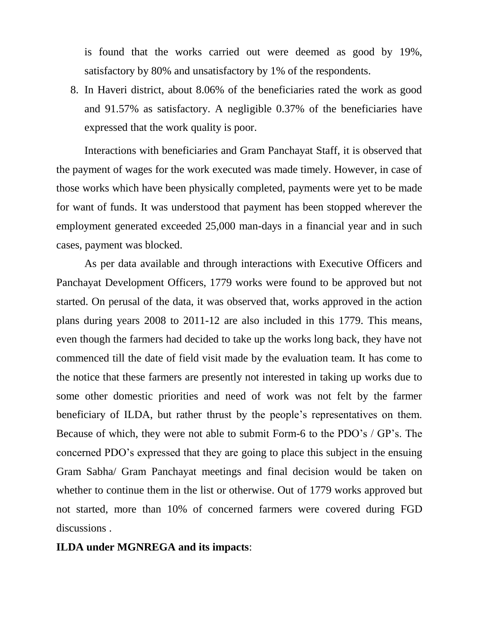is found that the works carried out were deemed as good by 19%, satisfactory by 80% and unsatisfactory by 1% of the respondents.

8. In Haveri district, about 8.06% of the beneficiaries rated the work as good and 91.57% as satisfactory. A negligible 0.37% of the beneficiaries have expressed that the work quality is poor.

Interactions with beneficiaries and Gram Panchayat Staff, it is observed that the payment of wages for the work executed was made timely. However, in case of those works which have been physically completed, payments were yet to be made for want of funds. It was understood that payment has been stopped wherever the employment generated exceeded 25,000 man-days in a financial year and in such cases, payment was blocked.

As per data available and through interactions with Executive Officers and Panchayat Development Officers, 1779 works were found to be approved but not started. On perusal of the data, it was observed that, works approved in the action plans during years 2008 to 2011-12 are also included in this 1779. This means, even though the farmers had decided to take up the works long back, they have not commenced till the date of field visit made by the evaluation team. It has come to the notice that these farmers are presently not interested in taking up works due to some other domestic priorities and need of work was not felt by the farmer beneficiary of ILDA, but rather thrust by the people"s representatives on them. Because of which, they were not able to submit Form-6 to the PDO"s / GP"s. The concerned PDO"s expressed that they are going to place this subject in the ensuing Gram Sabha/ Gram Panchayat meetings and final decision would be taken on whether to continue them in the list or otherwise. Out of 1779 works approved but not started, more than 10% of concerned farmers were covered during FGD discussions .

## **ILDA under MGNREGA and its impacts**: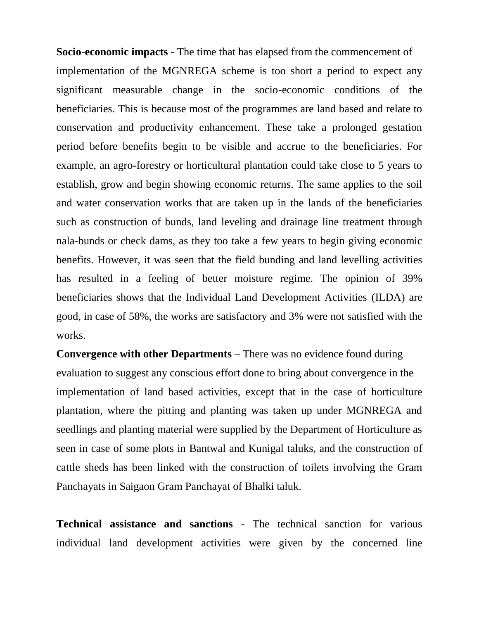**Socio-economic impacts -** The time that has elapsed from the commencement of implementation of the MGNREGA scheme is too short a period to expect any significant measurable change in the socio-economic conditions of the beneficiaries. This is because most of the programmes are land based and relate to conservation and productivity enhancement. These take a prolonged gestation period before benefits begin to be visible and accrue to the beneficiaries. For example, an agro-forestry or horticultural plantation could take close to 5 years to establish, grow and begin showing economic returns. The same applies to the soil and water conservation works that are taken up in the lands of the beneficiaries such as construction of bunds, land leveling and drainage line treatment through nala-bunds or check dams, as they too take a few years to begin giving economic benefits. However, it was seen that the field bunding and land levelling activities has resulted in a feeling of better moisture regime. The opinion of 39% beneficiaries shows that the Individual Land Development Activities (ILDA) are good, in case of 58%, the works are satisfactory and 3% were not satisfied with the works.

**Convergence with other Departments –** There was no evidence found during evaluation to suggest any conscious effort done to bring about convergence in the implementation of land based activities, except that in the case of horticulture plantation, where the pitting and planting was taken up under MGNREGA and seedlings and planting material were supplied by the Department of Horticulture as seen in case of some plots in Bantwal and Kunigal taluks, and the construction of cattle sheds has been linked with the construction of toilets involving the Gram Panchayats in Saigaon Gram Panchayat of Bhalki taluk.

**Technical assistance and sanctions -** The technical sanction for various individual land development activities were given by the concerned line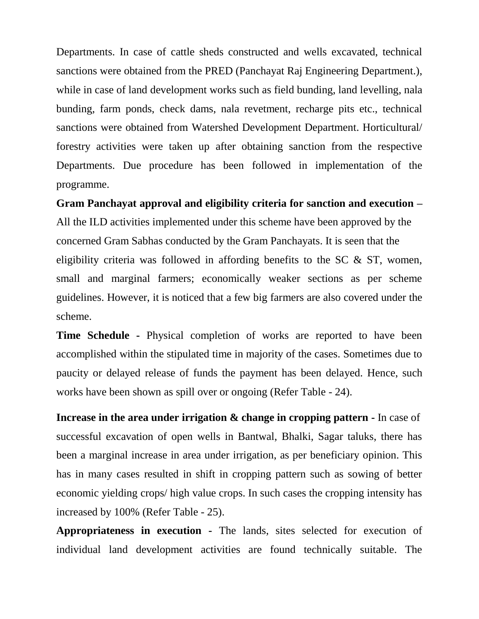Departments. In case of cattle sheds constructed and wells excavated, technical sanctions were obtained from the PRED (Panchayat Raj Engineering Department.), while in case of land development works such as field bunding, land levelling, nala bunding, farm ponds, check dams, nala revetment, recharge pits etc., technical sanctions were obtained from Watershed Development Department. Horticultural/ forestry activities were taken up after obtaining sanction from the respective Departments. Due procedure has been followed in implementation of the programme.

**Gram Panchayat approval and eligibility criteria for sanction and execution –** All the ILD activities implemented under this scheme have been approved by the concerned Gram Sabhas conducted by the Gram Panchayats. It is seen that the eligibility criteria was followed in affording benefits to the SC & ST, women, small and marginal farmers; economically weaker sections as per scheme guidelines. However, it is noticed that a few big farmers are also covered under the scheme.

**Time Schedule -** Physical completion of works are reported to have been accomplished within the stipulated time in majority of the cases. Sometimes due to paucity or delayed release of funds the payment has been delayed. Hence, such works have been shown as spill over or ongoing (Refer Table - 24).

**Increase in the area under irrigation & change in cropping pattern -** In case of successful excavation of open wells in Bantwal, Bhalki, Sagar taluks, there has been a marginal increase in area under irrigation, as per beneficiary opinion. This has in many cases resulted in shift in cropping pattern such as sowing of better economic yielding crops/ high value crops. In such cases the cropping intensity has increased by 100% (Refer Table - 25).

**Appropriateness in execution -** The lands, sites selected for execution of individual land development activities are found technically suitable. The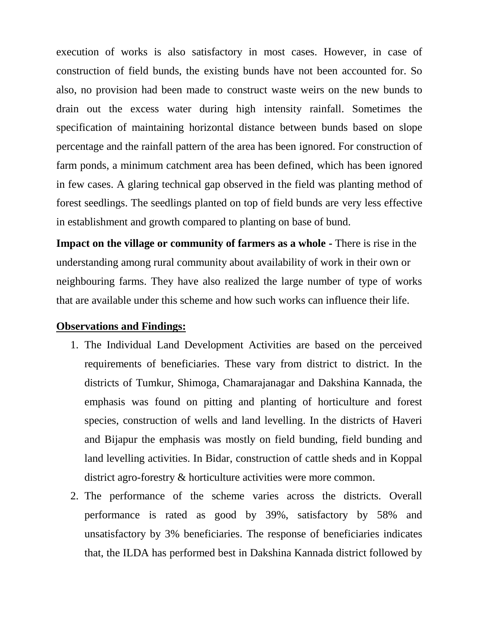execution of works is also satisfactory in most cases. However, in case of construction of field bunds, the existing bunds have not been accounted for. So also, no provision had been made to construct waste weirs on the new bunds to drain out the excess water during high intensity rainfall. Sometimes the specification of maintaining horizontal distance between bunds based on slope percentage and the rainfall pattern of the area has been ignored. For construction of farm ponds, a minimum catchment area has been defined, which has been ignored in few cases. A glaring technical gap observed in the field was planting method of forest seedlings. The seedlings planted on top of field bunds are very less effective in establishment and growth compared to planting on base of bund.

**Impact on the village or community of farmers as a whole -** There is rise in the understanding among rural community about availability of work in their own or neighbouring farms. They have also realized the large number of type of works that are available under this scheme and how such works can influence their life.

#### **Observations and Findings:**

- 1. The Individual Land Development Activities are based on the perceived requirements of beneficiaries. These vary from district to district. In the districts of Tumkur, Shimoga, Chamarajanagar and Dakshina Kannada, the emphasis was found on pitting and planting of horticulture and forest species, construction of wells and land levelling. In the districts of Haveri and Bijapur the emphasis was mostly on field bunding, field bunding and land levelling activities. In Bidar, construction of cattle sheds and in Koppal district agro-forestry & horticulture activities were more common.
- 2. The performance of the scheme varies across the districts. Overall performance is rated as good by 39%, satisfactory by 58% and unsatisfactory by 3% beneficiaries. The response of beneficiaries indicates that, the ILDA has performed best in Dakshina Kannada district followed by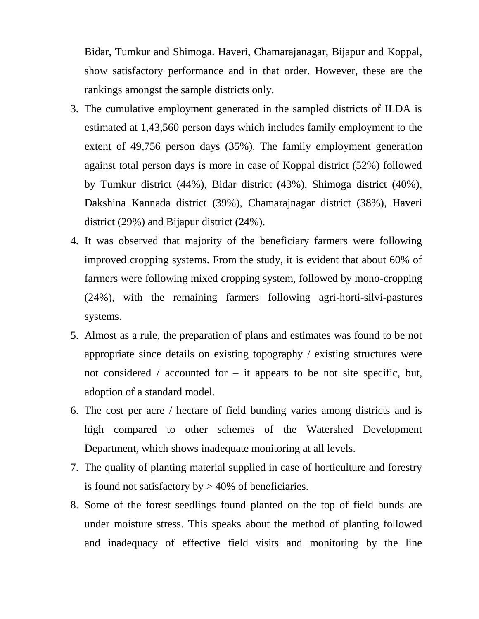Bidar, Tumkur and Shimoga. Haveri, Chamarajanagar, Bijapur and Koppal, show satisfactory performance and in that order. However, these are the rankings amongst the sample districts only.

- 3. The cumulative employment generated in the sampled districts of ILDA is estimated at 1,43,560 person days which includes family employment to the extent of 49,756 person days (35%). The family employment generation against total person days is more in case of Koppal district (52%) followed by Tumkur district (44%), Bidar district (43%), Shimoga district (40%), Dakshina Kannada district (39%), Chamarajnagar district (38%), Haveri district (29%) and Bijapur district (24%).
- 4. It was observed that majority of the beneficiary farmers were following improved cropping systems. From the study, it is evident that about 60% of farmers were following mixed cropping system, followed by mono-cropping (24%), with the remaining farmers following agri-horti-silvi-pastures systems.
- 5. Almost as a rule, the preparation of plans and estimates was found to be not appropriate since details on existing topography / existing structures were not considered / accounted for  $-$  it appears to be not site specific, but, adoption of a standard model.
- 6. The cost per acre / hectare of field bunding varies among districts and is high compared to other schemes of the Watershed Development Department, which shows inadequate monitoring at all levels.
- 7. The quality of planting material supplied in case of horticulture and forestry is found not satisfactory by  $> 40\%$  of beneficiaries.
- 8. Some of the forest seedlings found planted on the top of field bunds are under moisture stress. This speaks about the method of planting followed and inadequacy of effective field visits and monitoring by the line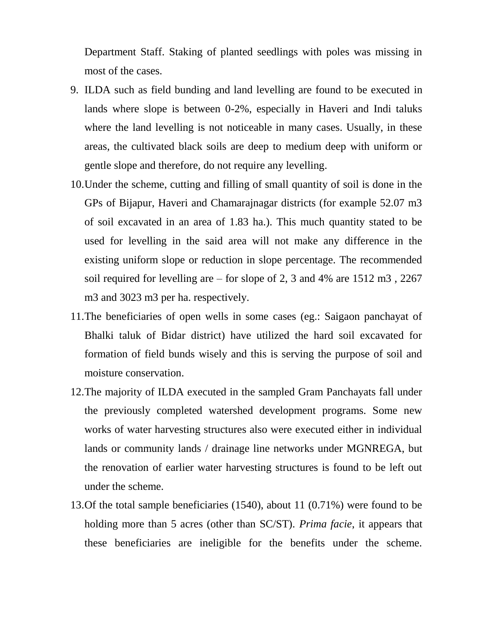Department Staff. Staking of planted seedlings with poles was missing in most of the cases.

- 9. ILDA such as field bunding and land levelling are found to be executed in lands where slope is between 0-2%, especially in Haveri and Indi taluks where the land levelling is not noticeable in many cases. Usually, in these areas, the cultivated black soils are deep to medium deep with uniform or gentle slope and therefore, do not require any levelling.
- 10.Under the scheme, cutting and filling of small quantity of soil is done in the GPs of Bijapur, Haveri and Chamarajnagar districts (for example 52.07 m3 of soil excavated in an area of 1.83 ha.). This much quantity stated to be used for levelling in the said area will not make any difference in the existing uniform slope or reduction in slope percentage. The recommended soil required for levelling are – for slope of 2, 3 and 4% are 1512 m3 , 2267 m3 and 3023 m3 per ha. respectively.
- 11.The beneficiaries of open wells in some cases (eg.: Saigaon panchayat of Bhalki taluk of Bidar district) have utilized the hard soil excavated for formation of field bunds wisely and this is serving the purpose of soil and moisture conservation.
- 12.The majority of ILDA executed in the sampled Gram Panchayats fall under the previously completed watershed development programs. Some new works of water harvesting structures also were executed either in individual lands or community lands / drainage line networks under MGNREGA, but the renovation of earlier water harvesting structures is found to be left out under the scheme.
- 13.Of the total sample beneficiaries (1540), about 11 (0.71%) were found to be holding more than 5 acres (other than SC/ST). *Prima facie*, it appears that these beneficiaries are ineligible for the benefits under the scheme.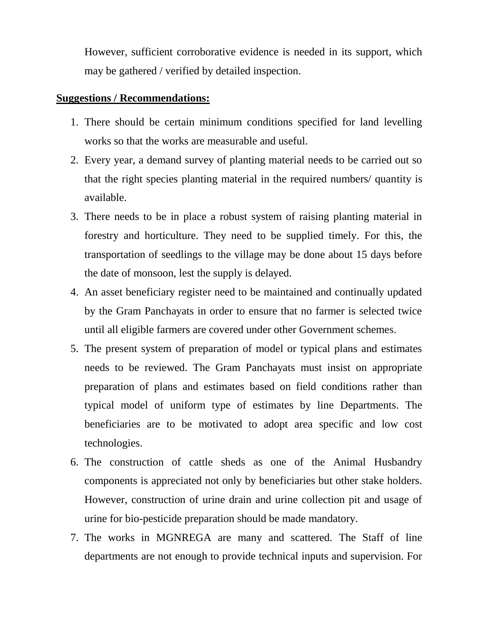However, sufficient corroborative evidence is needed in its support, which may be gathered / verified by detailed inspection.

## **Suggestions / Recommendations:**

- 1. There should be certain minimum conditions specified for land levelling works so that the works are measurable and useful.
- 2. Every year, a demand survey of planting material needs to be carried out so that the right species planting material in the required numbers/ quantity is available.
- 3. There needs to be in place a robust system of raising planting material in forestry and horticulture. They need to be supplied timely. For this, the transportation of seedlings to the village may be done about 15 days before the date of monsoon, lest the supply is delayed.
- 4. An asset beneficiary register need to be maintained and continually updated by the Gram Panchayats in order to ensure that no farmer is selected twice until all eligible farmers are covered under other Government schemes.
- 5. The present system of preparation of model or typical plans and estimates needs to be reviewed. The Gram Panchayats must insist on appropriate preparation of plans and estimates based on field conditions rather than typical model of uniform type of estimates by line Departments. The beneficiaries are to be motivated to adopt area specific and low cost technologies.
- 6. The construction of cattle sheds as one of the Animal Husbandry components is appreciated not only by beneficiaries but other stake holders. However, construction of urine drain and urine collection pit and usage of urine for bio-pesticide preparation should be made mandatory.
- 7. The works in MGNREGA are many and scattered. The Staff of line departments are not enough to provide technical inputs and supervision. For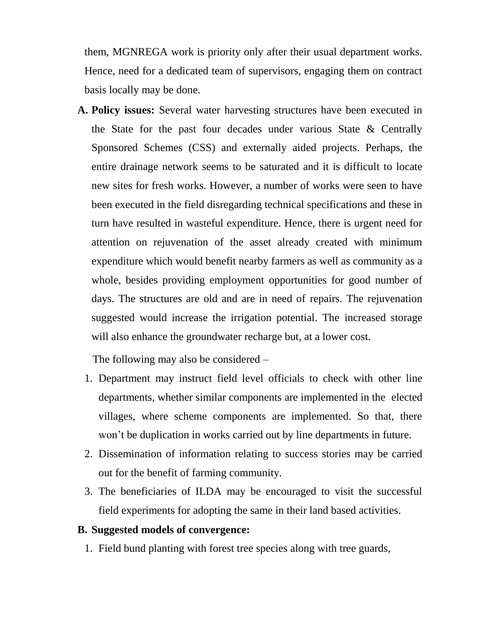them, MGNREGA work is priority only after their usual department works. Hence, need for a dedicated team of supervisors, engaging them on contract basis locally may be done.

**A. Policy issues:** Several water harvesting structures have been executed in the State for the past four decades under various State & Centrally Sponsored Schemes (CSS) and externally aided projects. Perhaps, the entire drainage network seems to be saturated and it is difficult to locate new sites for fresh works. However, a number of works were seen to have been executed in the field disregarding technical specifications and these in turn have resulted in wasteful expenditure. Hence, there is urgent need for attention on rejuvenation of the asset already created with minimum expenditure which would benefit nearby farmers as well as community as a whole, besides providing employment opportunities for good number of days. The structures are old and are in need of repairs. The rejuvenation suggested would increase the irrigation potential. The increased storage will also enhance the groundwater recharge but, at a lower cost.

The following may also be considered –

- 1. Department may instruct field level officials to check with other line departments, whether similar components are implemented in the elected villages, where scheme components are implemented. So that, there won"t be duplication in works carried out by line departments in future.
- 2. Dissemination of information relating to success stories may be carried out for the benefit of farming community.
- 3. The beneficiaries of ILDA may be encouraged to visit the successful field experiments for adopting the same in their land based activities.

#### **B. Suggested models of convergence:**

1. Field bund planting with forest tree species along with tree guards,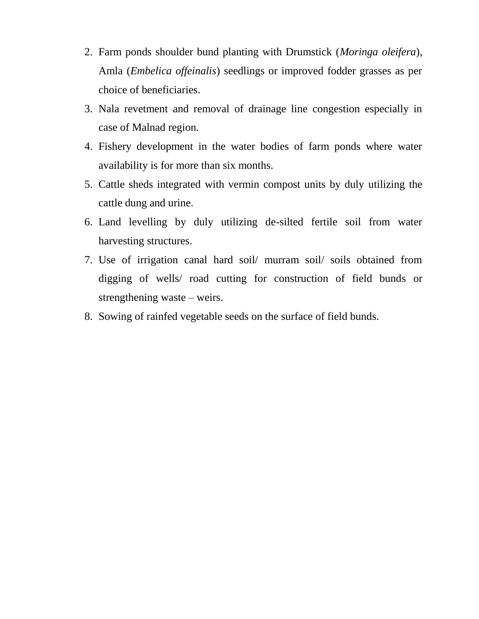- 2. Farm ponds shoulder bund planting with Drumstick (*Moringa oleifera*), Amla (*Embelica offeinalis*) seedlings or improved fodder grasses as per choice of beneficiaries.
- 3. Nala revetment and removal of drainage line congestion especially in case of Malnad region.
- 4. Fishery development in the water bodies of farm ponds where water availability is for more than six months.
- 5. Cattle sheds integrated with vermin compost units by duly utilizing the cattle dung and urine.
- 6. Land levelling by duly utilizing de-silted fertile soil from water harvesting structures.
- 7. Use of irrigation canal hard soil/ murram soil/ soils obtained from digging of wells/ road cutting for construction of field bunds or strengthening waste – weirs.
- 8. Sowing of rainfed vegetable seeds on the surface of field bunds.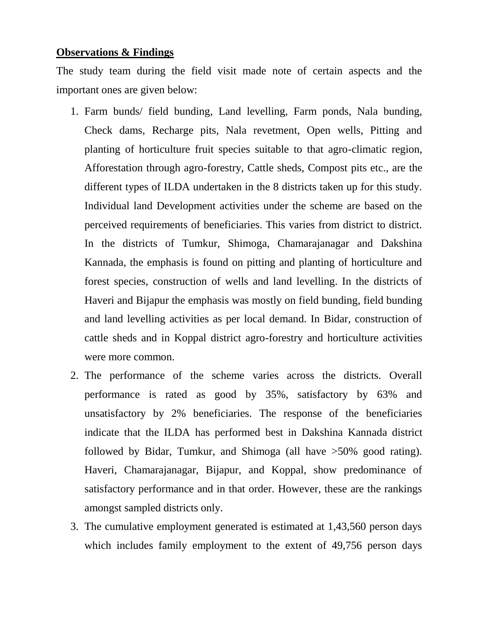## **Observations & Findings**

The study team during the field visit made note of certain aspects and the important ones are given below:

- 1. Farm bunds/ field bunding, Land levelling, Farm ponds, Nala bunding, Check dams, Recharge pits, Nala revetment, Open wells, Pitting and planting of horticulture fruit species suitable to that agro-climatic region, Afforestation through agro-forestry, Cattle sheds, Compost pits etc., are the different types of ILDA undertaken in the 8 districts taken up for this study. Individual land Development activities under the scheme are based on the perceived requirements of beneficiaries. This varies from district to district. In the districts of Tumkur, Shimoga, Chamarajanagar and Dakshina Kannada, the emphasis is found on pitting and planting of horticulture and forest species, construction of wells and land levelling. In the districts of Haveri and Bijapur the emphasis was mostly on field bunding, field bunding and land levelling activities as per local demand. In Bidar, construction of cattle sheds and in Koppal district agro-forestry and horticulture activities were more common.
- 2. The performance of the scheme varies across the districts. Overall performance is rated as good by 35%, satisfactory by 63% and unsatisfactory by 2% beneficiaries. The response of the beneficiaries indicate that the ILDA has performed best in Dakshina Kannada district followed by Bidar, Tumkur, and Shimoga (all have >50% good rating). Haveri, Chamarajanagar, Bijapur, and Koppal, show predominance of satisfactory performance and in that order. However, these are the rankings amongst sampled districts only.
- 3. The cumulative employment generated is estimated at 1,43,560 person days which includes family employment to the extent of 49,756 person days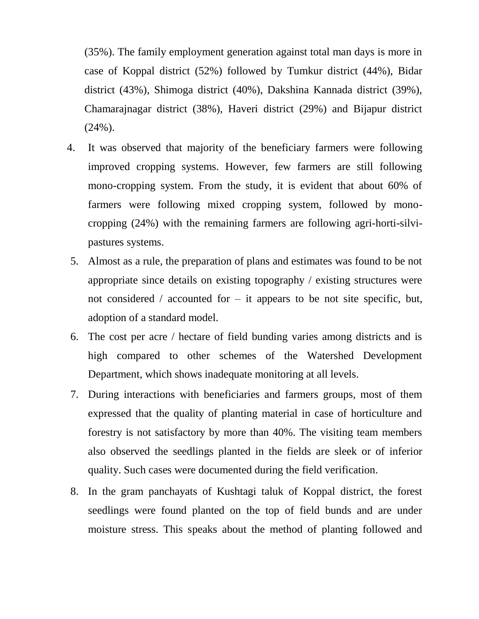(35%). The family employment generation against total man days is more in case of Koppal district (52%) followed by Tumkur district (44%), Bidar district (43%), Shimoga district (40%), Dakshina Kannada district (39%), Chamarajnagar district (38%), Haveri district (29%) and Bijapur district  $(24\%)$ .

- 4. It was observed that majority of the beneficiary farmers were following improved cropping systems. However, few farmers are still following mono-cropping system. From the study, it is evident that about 60% of farmers were following mixed cropping system, followed by monocropping (24%) with the remaining farmers are following agri-horti-silvipastures systems.
- 5. Almost as a rule, the preparation of plans and estimates was found to be not appropriate since details on existing topography / existing structures were not considered / accounted for  $-$  it appears to be not site specific, but, adoption of a standard model.
- 6. The cost per acre / hectare of field bunding varies among districts and is high compared to other schemes of the Watershed Development Department, which shows inadequate monitoring at all levels.
- 7. During interactions with beneficiaries and farmers groups, most of them expressed that the quality of planting material in case of horticulture and forestry is not satisfactory by more than 40%. The visiting team members also observed the seedlings planted in the fields are sleek or of inferior quality. Such cases were documented during the field verification.
- 8. In the gram panchayats of Kushtagi taluk of Koppal district, the forest seedlings were found planted on the top of field bunds and are under moisture stress. This speaks about the method of planting followed and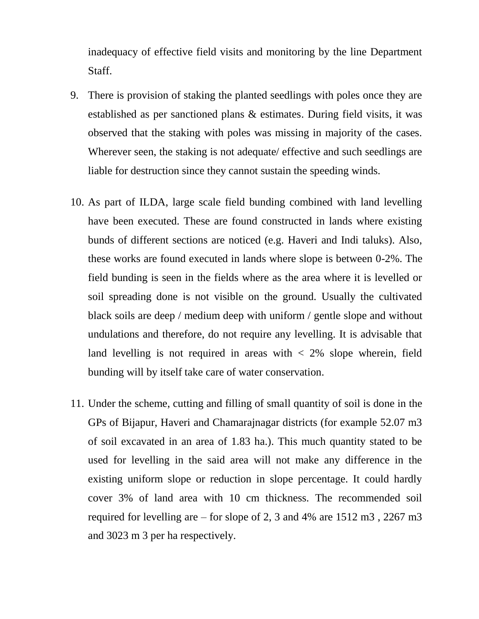inadequacy of effective field visits and monitoring by the line Department Staff.

- 9. There is provision of staking the planted seedlings with poles once they are established as per sanctioned plans & estimates. During field visits, it was observed that the staking with poles was missing in majority of the cases. Wherever seen, the staking is not adequate/ effective and such seedlings are liable for destruction since they cannot sustain the speeding winds.
- 10. As part of ILDA, large scale field bunding combined with land levelling have been executed. These are found constructed in lands where existing bunds of different sections are noticed (e.g. Haveri and Indi taluks). Also, these works are found executed in lands where slope is between 0-2%. The field bunding is seen in the fields where as the area where it is levelled or soil spreading done is not visible on the ground. Usually the cultivated black soils are deep / medium deep with uniform / gentle slope and without undulations and therefore, do not require any levelling. It is advisable that land levelling is not required in areas with  $\langle 2\%$  slope wherein, field bunding will by itself take care of water conservation.
- 11. Under the scheme, cutting and filling of small quantity of soil is done in the GPs of Bijapur, Haveri and Chamarajnagar districts (for example 52.07 m3 of soil excavated in an area of 1.83 ha.). This much quantity stated to be used for levelling in the said area will not make any difference in the existing uniform slope or reduction in slope percentage. It could hardly cover 3% of land area with 10 cm thickness. The recommended soil required for levelling are – for slope of 2, 3 and 4% are 1512 m3 , 2267 m3 and 3023 m 3 per ha respectively.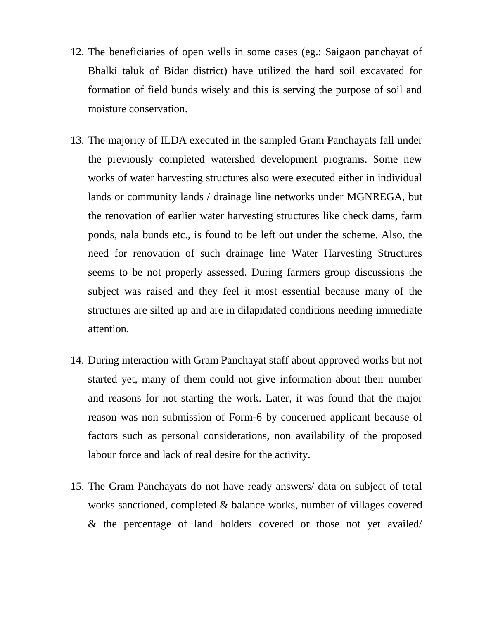- 12. The beneficiaries of open wells in some cases (eg.: Saigaon panchayat of Bhalki taluk of Bidar district) have utilized the hard soil excavated for formation of field bunds wisely and this is serving the purpose of soil and moisture conservation.
- 13. The majority of ILDA executed in the sampled Gram Panchayats fall under the previously completed watershed development programs. Some new works of water harvesting structures also were executed either in individual lands or community lands / drainage line networks under MGNREGA, but the renovation of earlier water harvesting structures like check dams, farm ponds, nala bunds etc., is found to be left out under the scheme. Also, the need for renovation of such drainage line Water Harvesting Structures seems to be not properly assessed. During farmers group discussions the subject was raised and they feel it most essential because many of the structures are silted up and are in dilapidated conditions needing immediate attention.
- 14. During interaction with Gram Panchayat staff about approved works but not started yet, many of them could not give information about their number and reasons for not starting the work. Later, it was found that the major reason was non submission of Form-6 by concerned applicant because of factors such as personal considerations, non availability of the proposed labour force and lack of real desire for the activity.
- 15. The Gram Panchayats do not have ready answers/ data on subject of total works sanctioned, completed & balance works, number of villages covered & the percentage of land holders covered or those not yet availed/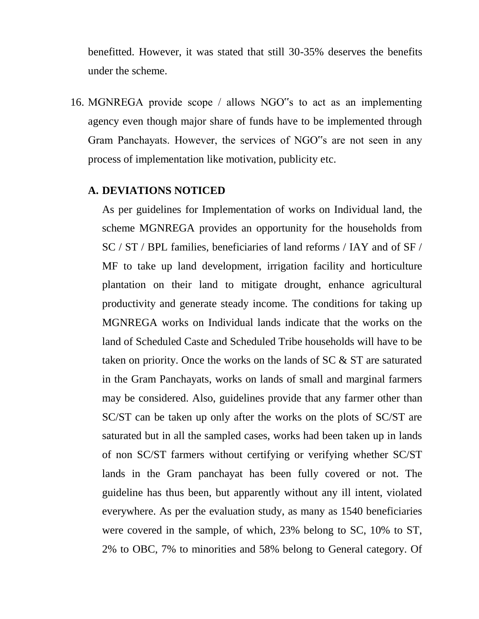benefitted. However, it was stated that still 30-35% deserves the benefits under the scheme.

16. MGNREGA provide scope / allows NGO"s to act as an implementing agency even though major share of funds have to be implemented through Gram Panchayats. However, the services of NGO"s are not seen in any process of implementation like motivation, publicity etc.

### **A. DEVIATIONS NOTICED**

As per guidelines for Implementation of works on Individual land, the scheme MGNREGA provides an opportunity for the households from SC / ST / BPL families, beneficiaries of land reforms / IAY and of SF / MF to take up land development, irrigation facility and horticulture plantation on their land to mitigate drought, enhance agricultural productivity and generate steady income. The conditions for taking up MGNREGA works on Individual lands indicate that the works on the land of Scheduled Caste and Scheduled Tribe households will have to be taken on priority. Once the works on the lands of SC & ST are saturated in the Gram Panchayats, works on lands of small and marginal farmers may be considered. Also, guidelines provide that any farmer other than SC/ST can be taken up only after the works on the plots of SC/ST are saturated but in all the sampled cases, works had been taken up in lands of non SC/ST farmers without certifying or verifying whether SC/ST lands in the Gram panchayat has been fully covered or not. The guideline has thus been, but apparently without any ill intent, violated everywhere. As per the evaluation study, as many as 1540 beneficiaries were covered in the sample, of which, 23% belong to SC, 10% to ST, 2% to OBC, 7% to minorities and 58% belong to General category. Of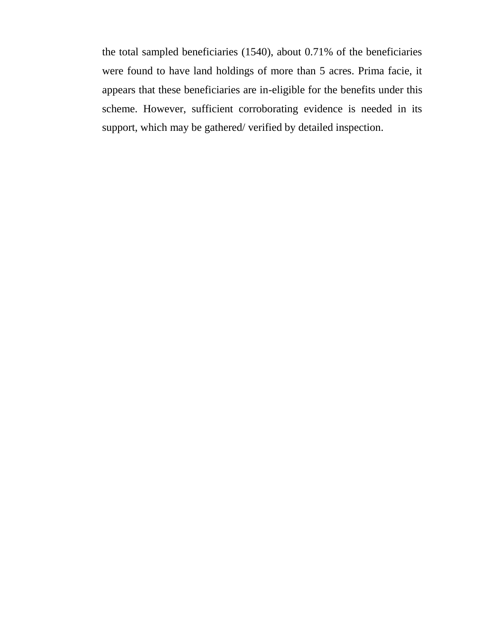the total sampled beneficiaries (1540), about 0.71% of the beneficiaries were found to have land holdings of more than 5 acres. Prima facie, it appears that these beneficiaries are in-eligible for the benefits under this scheme. However, sufficient corroborating evidence is needed in its support, which may be gathered/ verified by detailed inspection.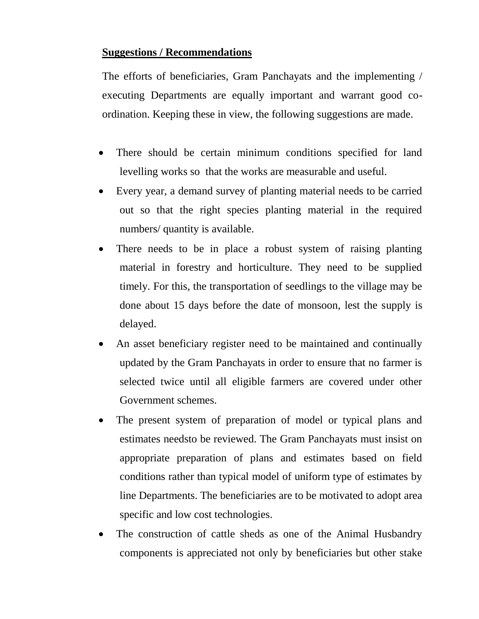# **Suggestions / Recommendations**

The efforts of beneficiaries, Gram Panchayats and the implementing / executing Departments are equally important and warrant good coordination. Keeping these in view, the following suggestions are made.

- There should be certain minimum conditions specified for land levelling works so that the works are measurable and useful.
- Every year, a demand survey of planting material needs to be carried out so that the right species planting material in the required numbers/ quantity is available.
- There needs to be in place a robust system of raising planting material in forestry and horticulture. They need to be supplied timely. For this, the transportation of seedlings to the village may be done about 15 days before the date of monsoon, lest the supply is delayed.
- An asset beneficiary register need to be maintained and continually updated by the Gram Panchayats in order to ensure that no farmer is selected twice until all eligible farmers are covered under other Government schemes.
- The present system of preparation of model or typical plans and estimates needsto be reviewed. The Gram Panchayats must insist on appropriate preparation of plans and estimates based on field conditions rather than typical model of uniform type of estimates by line Departments. The beneficiaries are to be motivated to adopt area specific and low cost technologies.
- The construction of cattle sheds as one of the Animal Husbandry components is appreciated not only by beneficiaries but other stake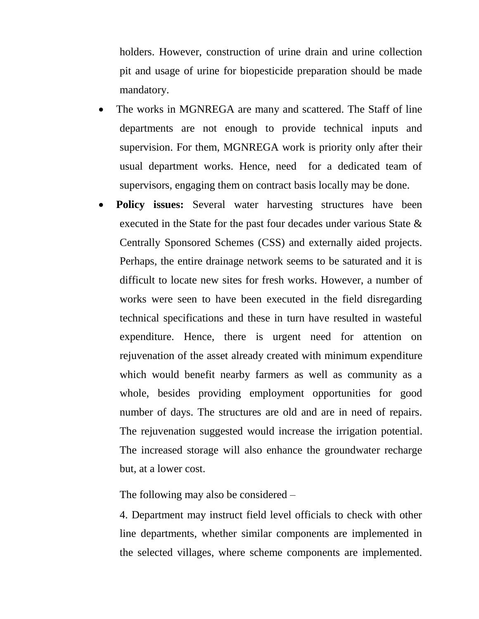holders. However, construction of urine drain and urine collection pit and usage of urine for biopesticide preparation should be made mandatory.

- The works in MGNREGA are many and scattered. The Staff of line departments are not enough to provide technical inputs and supervision. For them, MGNREGA work is priority only after their usual department works. Hence, need for a dedicated team of supervisors, engaging them on contract basis locally may be done.
- **Policy issues:** Several water harvesting structures have been executed in the State for the past four decades under various State & Centrally Sponsored Schemes (CSS) and externally aided projects. Perhaps, the entire drainage network seems to be saturated and it is difficult to locate new sites for fresh works. However, a number of works were seen to have been executed in the field disregarding technical specifications and these in turn have resulted in wasteful expenditure. Hence, there is urgent need for attention on rejuvenation of the asset already created with minimum expenditure which would benefit nearby farmers as well as community as a whole, besides providing employment opportunities for good number of days. The structures are old and are in need of repairs. The rejuvenation suggested would increase the irrigation potential. The increased storage will also enhance the groundwater recharge but, at a lower cost.

The following may also be considered –

4. Department may instruct field level officials to check with other line departments, whether similar components are implemented in the selected villages, where scheme components are implemented.